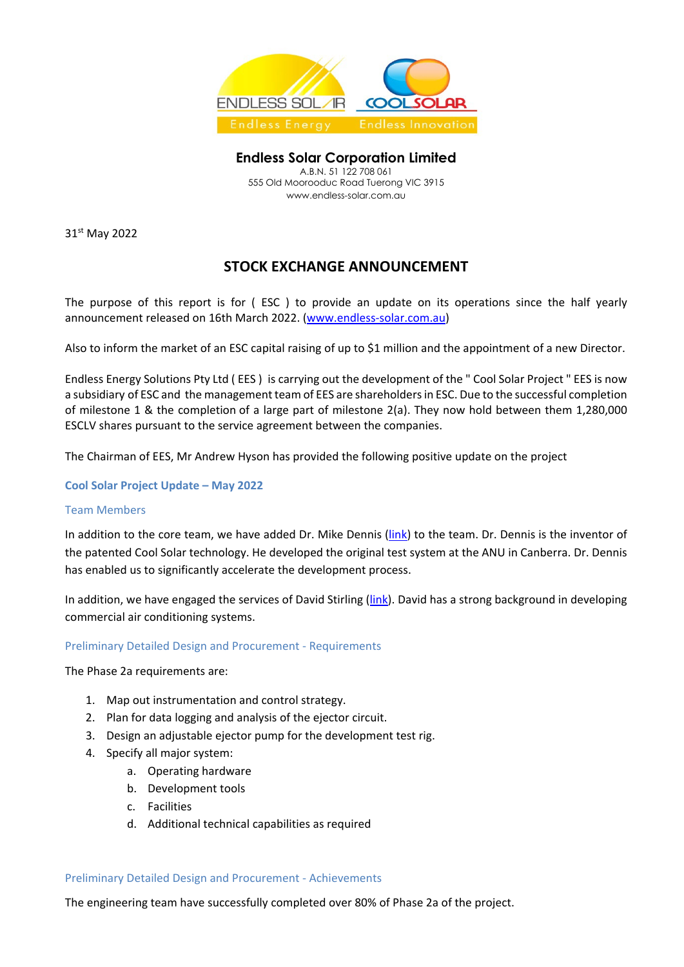

**Endless Solar Corporation Limited**  A.B.N. 51 122 708 061 555 Old Moorooduc Road Tuerong VIC 3915 www.endless-solar.com.au

31<sup>st</sup> May 2022

# **STOCK EXCHANGE ANNOUNCEMENT**

The purpose of this report is for ( ESC ) to provide an update on its operations since the half yearly announcement released on 16th March 2022. [\(www.endless-solar.com.au\)](http://www.endless-solar.com.au/)

Also to inform the market of an ESC capital raising of up to \$1 million and the appointment of a new Director.

Endless Energy Solutions Pty Ltd ( EES ) is carrying out the development of the " Cool Solar Project " EES is now a subsidiary of ESC and the management team of EES are shareholders in ESC. Due to the successful completion of milestone 1 & the completion of a large part of milestone 2(a). They now hold between them 1,280,000 ESCLV shares pursuant to the service agreement between the companies.

The Chairman of EES, Mr Andrew Hyson has provided the following positive update on the project

**Cool Solar Project Update – May 2022** 

## Team Members

In addition to the core team, we have added Dr. Mike Dennis [\(link\)](https://www.linkedin.com/in/mike-dennis-75bb4113/) to the team. Dr. Dennis is the inventor of the patented Cool Solar technology. He developed the original test system at the ANU in Canberra. Dr. Dennis has enabled us to significantly accelerate the development process.

In addition, we have engaged the services of David Stirling [\(link\)](https://www.linkedin.com/in/david-s-6137b347/). David has a strong background in developing commercial air conditioning systems.

## Preliminary Detailed Design and Procurement - Requirements

The Phase 2a requirements are:

- 1. Map out instrumentation and control strategy.
- 2. Plan for data logging and analysis of the ejector circuit.
- 3. Design an adjustable ejector pump for the development test rig.
- 4. Specify all major system:
	- a. Operating hardware
	- b. Development tools
	- c. Facilities
	- d. Additional technical capabilities as required

## Preliminary Detailed Design and Procurement - Achievements

The engineering team have successfully completed over 80% of Phase 2a of the project.